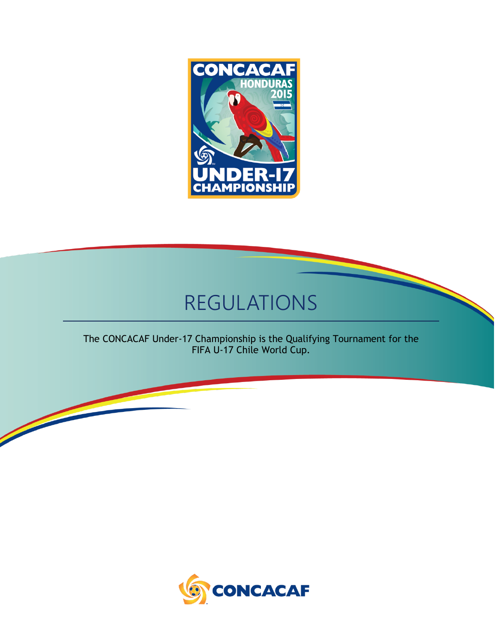

# REGULATIONS

The CONCACAF Under-17 Championship is the Qualifying Tournament for the FIFA U-17 Chile World Cup.

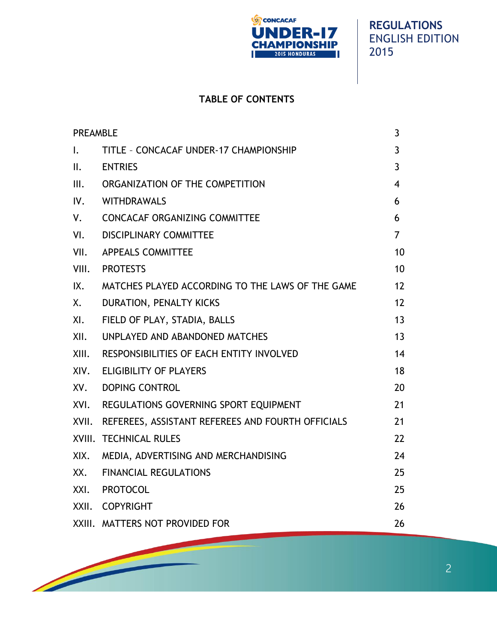

# **TABLE OF CONTENTS**

| <b>PREAMBLE</b> |                                                   | 3              |
|-----------------|---------------------------------------------------|----------------|
| $\mathsf{L}$    | TITLE - CONCACAF UNDER-17 CHAMPIONSHIP            | $\mathbf{3}$   |
| II.             | <b>ENTRIES</b>                                    | $\overline{3}$ |
| III.            | ORGANIZATION OF THE COMPETITION                   | $\overline{4}$ |
| IV.             | WITHDRAWALS                                       | 6              |
| V.              | <b>CONCACAF ORGANIZING COMMITTEE</b>              | 6              |
| VI.             | <b>DISCIPLINARY COMMITTEE</b>                     | $\overline{7}$ |
| VII.            | <b>APPEALS COMMITTEE</b>                          | 10             |
|                 | VIII. PROTESTS                                    | 10             |
| IX.             | MATCHES PLAYED ACCORDING TO THE LAWS OF THE GAME  | 12             |
| Χ.              | DURATION, PENALTY KICKS                           | 12             |
| XI.             | FIELD OF PLAY, STADIA, BALLS                      | 13             |
| XII.            | UNPLAYED AND ABANDONED MATCHES                    | 13             |
| XIII.           | RESPONSIBILITIES OF EACH ENTITY INVOLVED          | 14             |
| XIV.            | <b>ELIGIBILITY OF PLAYERS</b>                     | 18             |
| XV.             | DOPING CONTROL                                    | 20             |
|                 | XVI. REGULATIONS GOVERNING SPORT EQUIPMENT        | 21             |
| XVII.           | REFEREES, ASSISTANT REFEREES AND FOURTH OFFICIALS | 21             |
|                 | XVIII. TECHNICAL RULES                            | 22             |
| XIX.            | MEDIA, ADVERTISING AND MERCHANDISING              | 24             |
| XX.             | <b>FINANCIAL REGULATIONS</b>                      | 25             |
|                 | XXI. PROTOCOL                                     | 25             |
|                 | XXII. COPYRIGHT                                   | 26             |
|                 | XXIII. MATTERS NOT PROVIDED FOR                   | 26             |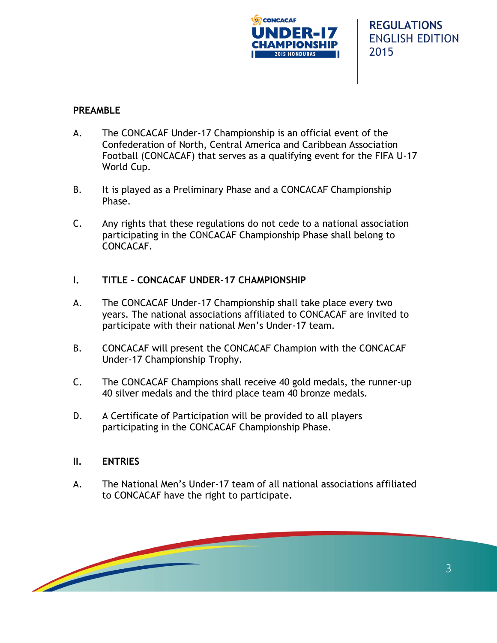

## **PREAMBLE**

- A. The CONCACAF Under-17 Championship is an official event of the Confederation of North, Central America and Caribbean Association Football (CONCACAF) that serves as a qualifying event for the FIFA U-17 World Cup.
- B. It is played as a Preliminary Phase and a CONCACAF Championship Phase.
- C. Any rights that these regulations do not cede to a national association participating in the CONCACAF Championship Phase shall belong to CONCACAF.

## **I. TITLE – CONCACAF UNDER-17 CHAMPIONSHIP**

- A. The CONCACAF Under-17 Championship shall take place every two years. The national associations affiliated to CONCACAF are invited to participate with their national Men's Under-17 team.
- B. CONCACAF will present the CONCACAF Champion with the CONCACAF Under-17 Championship Trophy.
- C. The CONCACAF Champions shall receive 40 gold medals, the runner-up 40 silver medals and the third place team 40 bronze medals.
- D. A Certificate of Participation will be provided to all players participating in the CONCACAF Championship Phase.

#### **II. ENTRIES**

A. The National Men's Under-17 team of all national associations affiliated to CONCACAF have the right to participate.

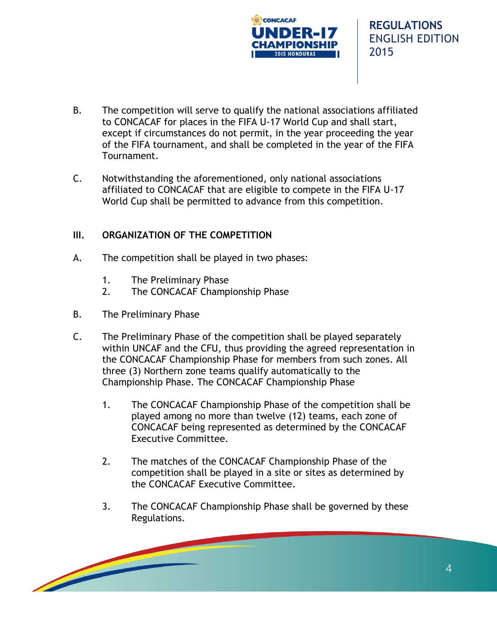

- B. The competition will serve to qualify the national associations affiliated to CONCACAF for places in the FIFA U-17 World Cup and shall start, except if circumstances do not permit, in the year proceeding the year of the FIFA tournament, and shall be completed in the year of the FIFA Tournament.
- C. Notwithstanding the aforementioned, only national associations affiliated to CONCACAF that are eligible to compete in the FIFA U-17 World Cup shall be permitted to advance from this competition.

#### **III. ORGANIZATION OF THE COMPETITION**

- A. The competition shall be played in two phases:
	- 1. The Preliminary Phase
	- 2. The CONCACAF Championship Phase
- B. The Preliminary Phase
- C. The Preliminary Phase of the competition shall be played separately within UNCAF and the CFU, thus providing the agreed representation in the CONCACAF Championship Phase for members from such zones. All three (3) Northern zone teams qualify automatically to the Championship Phase. The CONCACAF Championship Phase
	- 1. The CONCACAF Championship Phase of the competition shall be played among no more than twelve (12) teams, each zone of CONCACAF being represented as determined by the CONCACAF Executive Committee.
	- 2. The matches of the CONCACAF Championship Phase of the competition shall be played in a site or sites as determined by the CONCACAF Executive Committee.
	- 3. The CONCACAF Championship Phase shall be governed by these Regulations.

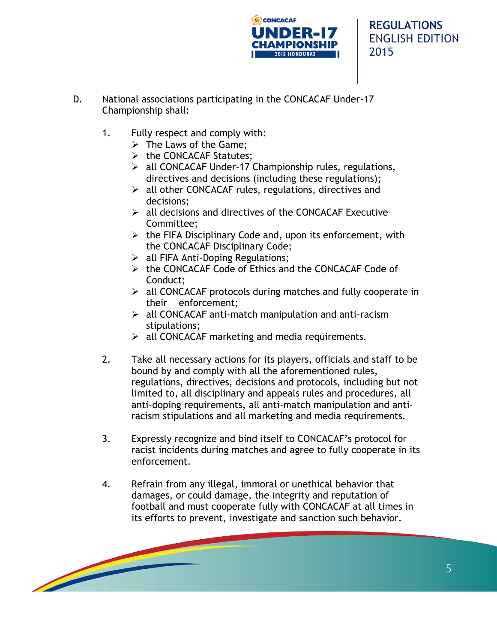

- D. National associations participating in the CONCACAF Under-17 Championship shall:
	- 1. Fully respect and comply with:
		- $\triangleright$  The Laws of the Game:
		- $\triangleright$  the CONCACAF Statutes;
		- $\triangleright$  all CONCACAF Under-17 Championship rules, regulations, directives and decisions (including these regulations);
		- $\triangleright$  all other CONCACAF rules, regulations, directives and decisions;
		- $\triangleright$  all decisions and directives of the CONCACAF Executive Committee;
		- $\triangleright$  the FIFA Disciplinary Code and, upon its enforcement, with the CONCACAF Disciplinary Code;
		- $\triangleright$  all FIFA Anti-Doping Regulations;
		- the CONCACAF Code of Ethics and the CONCACAF Code of Conduct;
		- $\triangleright$  all CONCACAF protocols during matches and fully cooperate in their enforcement;
		- $\triangleright$  all CONCACAF anti-match manipulation and anti-racism stipulations;
		- $\triangleright$  all CONCACAF marketing and media requirements.
	- 2. Take all necessary actions for its players, officials and staff to be bound by and comply with all the aforementioned rules, regulations, directives, decisions and protocols, including but not limited to, all disciplinary and appeals rules and procedures, all anti-doping requirements, all anti-match manipulation and antiracism stipulations and all marketing and media requirements.
	- 3. Expressly recognize and bind itself to CONCACAF's protocol for racist incidents during matches and agree to fully cooperate in its enforcement.
	- 4. Refrain from any illegal, immoral or unethical behavior that damages, or could damage, the integrity and reputation of football and must cooperate fully with CONCACAF at all times in its efforts to prevent, investigate and sanction such behavior.

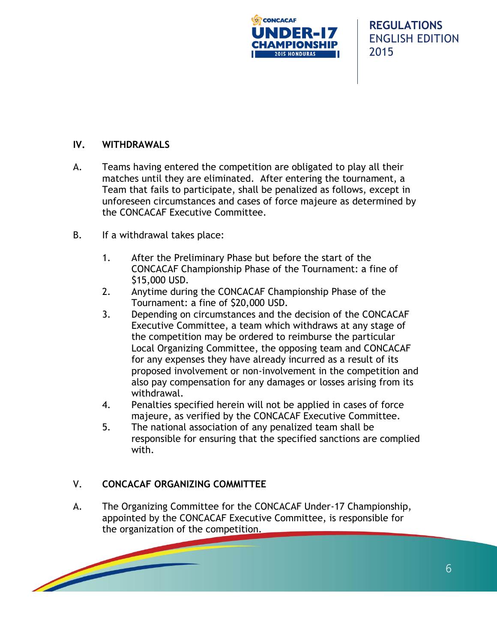

## **IV. WITHDRAWALS**

- A. Teams having entered the competition are obligated to play all their matches until they are eliminated. After entering the tournament, a Team that fails to participate, shall be penalized as follows, except in unforeseen circumstances and cases of force majeure as determined by the CONCACAF Executive Committee.
- B. If a withdrawal takes place:
	- 1. After the Preliminary Phase but before the start of the CONCACAF Championship Phase of the Tournament: a fine of \$15,000 USD.
	- 2. Anytime during the CONCACAF Championship Phase of the Tournament: a fine of \$20,000 USD.
	- 3. Depending on circumstances and the decision of the CONCACAF Executive Committee, a team which withdraws at any stage of the competition may be ordered to reimburse the particular Local Organizing Committee, the opposing team and CONCACAF for any expenses they have already incurred as a result of its proposed involvement or non-involvement in the competition and also pay compensation for any damages or losses arising from its withdrawal.
	- 4. Penalties specified herein will not be applied in cases of force majeure, as verified by the CONCACAF Executive Committee.
	- 5. The national association of any penalized team shall be responsible for ensuring that the specified sanctions are complied with.

#### V. **CONCACAF ORGANIZING COMMITTEE**

A. The Organizing Committee for the CONCACAF Under-17 Championship, appointed by the CONCACAF Executive Committee, is responsible for the organization of the competition.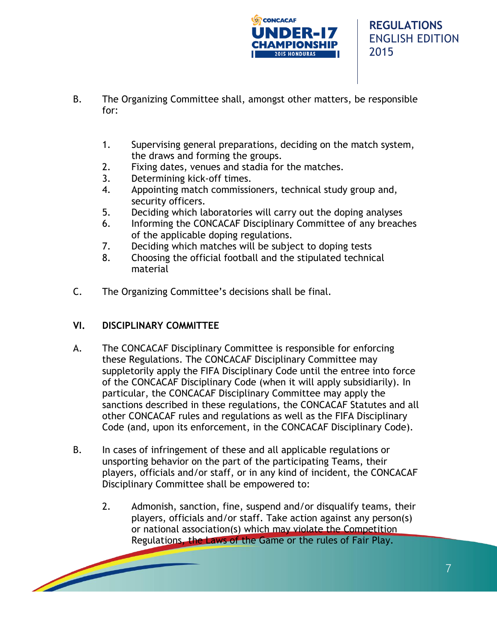

- B. The Organizing Committee shall, amongst other matters, be responsible for:
	- 1. Supervising general preparations, deciding on the match system, the draws and forming the groups.
	- 2. Fixing dates, venues and stadia for the matches.
	- 3. Determining kick-off times.
	- 4. Appointing match commissioners, technical study group and, security officers.
	- 5. Deciding which laboratories will carry out the doping analyses
	- 6. Informing the CONCACAF Disciplinary Committee of any breaches of the applicable doping regulations.
	- 7. Deciding which matches will be subject to doping tests
	- 8. Choosing the official football and the stipulated technical material
- C. The Organizing Committee's decisions shall be final.

## **VI. DISCIPLINARY COMMITTEE**

- A. The CONCACAF Disciplinary Committee is responsible for enforcing these Regulations. The CONCACAF Disciplinary Committee may suppletorily apply the FIFA Disciplinary Code until the entree into force of the CONCACAF Disciplinary Code (when it will apply subsidiarily). In particular, the CONCACAF Disciplinary Committee may apply the sanctions described in these regulations, the CONCACAF Statutes and all other CONCACAF rules and regulations as well as the FIFA Disciplinary Code (and, upon its enforcement, in the CONCACAF Disciplinary Code).
- B. In cases of infringement of these and all applicable regulations or unsporting behavior on the part of the participating Teams, their players, officials and/or staff, or in any kind of incident, the CONCACAF Disciplinary Committee shall be empowered to:
	- 2. Admonish, sanction, fine, suspend and/or disqualify teams, their players, officials and/or staff. Take action against any person(s) or national association(s) which may violate the Competition Regulations, the Laws of the Game or the rules of Fair Play.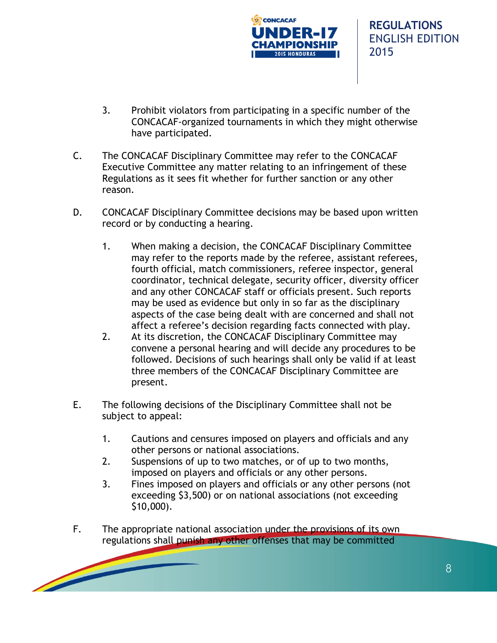

- 3. Prohibit violators from participating in a specific number of the CONCACAF-organized tournaments in which they might otherwise have participated.
- C. The CONCACAF Disciplinary Committee may refer to the CONCACAF Executive Committee any matter relating to an infringement of these Regulations as it sees fit whether for further sanction or any other reason.
- D. CONCACAF Disciplinary Committee decisions may be based upon written record or by conducting a hearing.
	- 1. When making a decision, the CONCACAF Disciplinary Committee may refer to the reports made by the referee, assistant referees, fourth official, match commissioners, referee inspector, general coordinator, technical delegate, security officer, diversity officer and any other CONCACAF staff or officials present. Such reports may be used as evidence but only in so far as the disciplinary aspects of the case being dealt with are concerned and shall not affect a referee's decision regarding facts connected with play.
	- 2. At its discretion, the CONCACAF Disciplinary Committee may convene a personal hearing and will decide any procedures to be followed. Decisions of such hearings shall only be valid if at least three members of the CONCACAF Disciplinary Committee are present.
- E. The following decisions of the Disciplinary Committee shall not be subject to appeal:
	- 1. Cautions and censures imposed on players and officials and any other persons or national associations.
	- 2. Suspensions of up to two matches, or of up to two months, imposed on players and officials or any other persons.
	- 3. Fines imposed on players and officials or any other persons (not exceeding \$3,500) or on national associations (not exceeding \$10,000).
- F. The appropriate national association under the provisions of its own regulations shall punish any other offenses that may be committed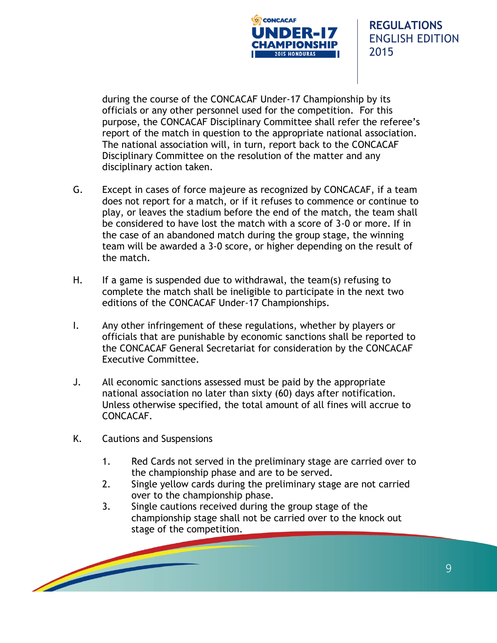

during the course of the CONCACAF Under-17 Championship by its officials or any other personnel used for the competition. For this purpose, the CONCACAF Disciplinary Committee shall refer the referee's report of the match in question to the appropriate national association. The national association will, in turn, report back to the CONCACAF Disciplinary Committee on the resolution of the matter and any disciplinary action taken.

- G. Except in cases of force majeure as recognized by CONCACAF, if a team does not report for a match, or if it refuses to commence or continue to play, or leaves the stadium before the end of the match, the team shall be considered to have lost the match with a score of 3-0 or more. If in the case of an abandoned match during the group stage, the winning team will be awarded a 3-0 score, or higher depending on the result of the match.
- H. If a game is suspended due to withdrawal, the team(s) refusing to complete the match shall be ineligible to participate in the next two editions of the CONCACAF Under-17 Championships.
- I. Any other infringement of these regulations, whether by players or officials that are punishable by economic sanctions shall be reported to the CONCACAF General Secretariat for consideration by the CONCACAF Executive Committee.
- J. All economic sanctions assessed must be paid by the appropriate national association no later than sixty (60) days after notification. Unless otherwise specified, the total amount of all fines will accrue to CONCACAF.
- K. Cautions and Suspensions
	- 1. Red Cards not served in the preliminary stage are carried over to the championship phase and are to be served.
	- 2. Single yellow cards during the preliminary stage are not carried over to the championship phase.
	- 3. Single cautions received during the group stage of the championship stage shall not be carried over to the knock out stage of the competition.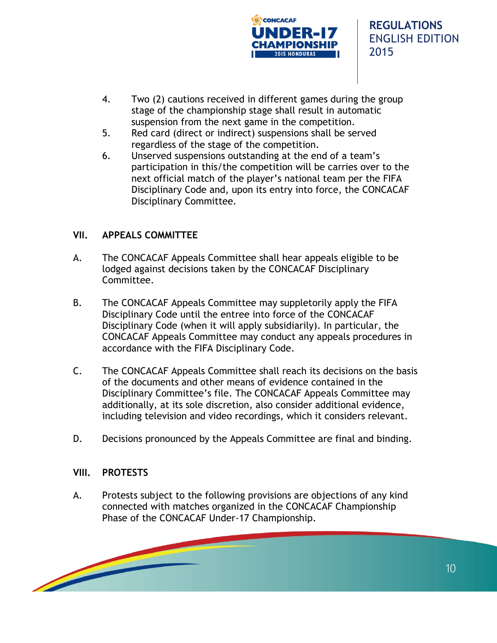

- 4. Two (2) cautions received in different games during the group stage of the championship stage shall result in automatic suspension from the next game in the competition.
- 5. Red card (direct or indirect) suspensions shall be served regardless of the stage of the competition.
- 6. Unserved suspensions outstanding at the end of a team's participation in this/the competition will be carries over to the next official match of the player's national team per the FIFA Disciplinary Code and, upon its entry into force, the CONCACAF Disciplinary Committee.

## **VII. APPEALS COMMITTEE**

- A. The CONCACAF Appeals Committee shall hear appeals eligible to be lodged against decisions taken by the CONCACAF Disciplinary Committee.
- B. The CONCACAF Appeals Committee may suppletorily apply the FIFA Disciplinary Code until the entree into force of the CONCACAF Disciplinary Code (when it will apply subsidiarily). In particular, the CONCACAF Appeals Committee may conduct any appeals procedures in accordance with the FIFA Disciplinary Code.
- C. The CONCACAF Appeals Committee shall reach its decisions on the basis of the documents and other means of evidence contained in the Disciplinary Committee's file. The CONCACAF Appeals Committee may additionally, at its sole discretion, also consider additional evidence, including television and video recordings, which it considers relevant.
- D. Decisions pronounced by the Appeals Committee are final and binding.

#### **VIII. PROTESTS**

A. Protests subject to the following provisions are objections of any kind connected with matches organized in the CONCACAF Championship Phase of the CONCACAF Under-17 Championship.

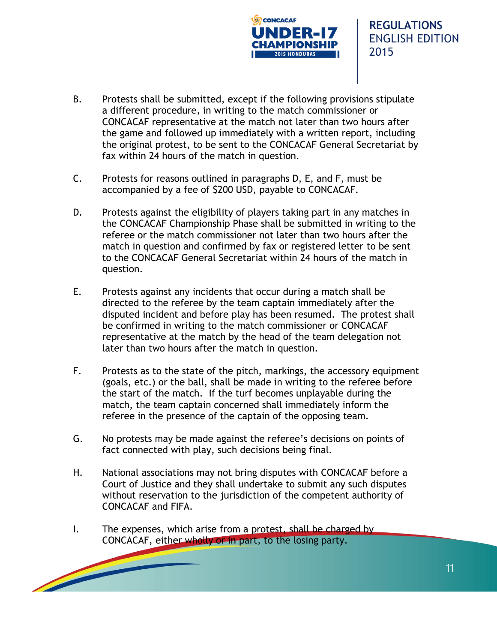

- B. Protests shall be submitted, except if the following provisions stipulate a different procedure, in writing to the match commissioner or CONCACAF representative at the match not later than two hours after the game and followed up immediately with a written report, including the original protest, to be sent to the CONCACAF General Secretariat by fax within 24 hours of the match in question.
- C. Protests for reasons outlined in paragraphs D, E, and F, must be accompanied by a fee of \$200 USD, payable to CONCACAF.
- D. Protests against the eligibility of players taking part in any matches in the CONCACAF Championship Phase shall be submitted in writing to the referee or the match commissioner not later than two hours after the match in question and confirmed by fax or registered letter to be sent to the CONCACAF General Secretariat within 24 hours of the match in question.
- E. Protests against any incidents that occur during a match shall be directed to the referee by the team captain immediately after the disputed incident and before play has been resumed. The protest shall be confirmed in writing to the match commissioner or CONCACAF representative at the match by the head of the team delegation not later than two hours after the match in question.
- F. Protests as to the state of the pitch, markings, the accessory equipment (goals, etc.) or the ball, shall be made in writing to the referee before the start of the match. If the turf becomes unplayable during the match, the team captain concerned shall immediately inform the referee in the presence of the captain of the opposing team.
- G. No protests may be made against the referee's decisions on points of fact connected with play, such decisions being final.
- H. National associations may not bring disputes with CONCACAF before a Court of Justice and they shall undertake to submit any such disputes without reservation to the jurisdiction of the competent authority of CONCACAF and FIFA.
- I. The expenses, which arise from a protest, shall be charged by CONCACAF, either wholly or in part, to the losing party.

11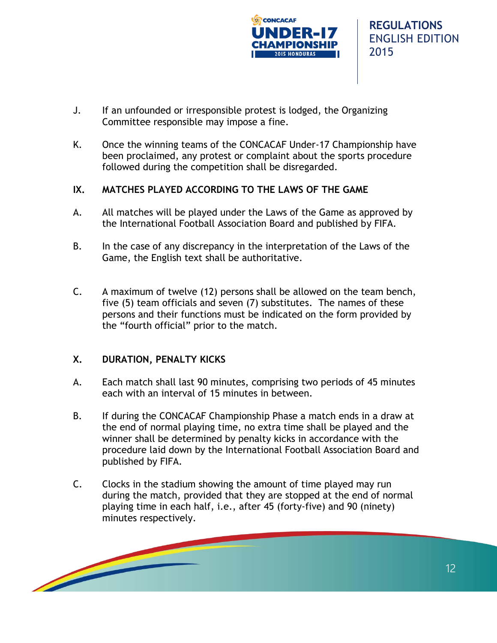

- J. If an unfounded or irresponsible protest is lodged, the Organizing Committee responsible may impose a fine.
- K. Once the winning teams of the CONCACAF Under-17 Championship have been proclaimed, any protest or complaint about the sports procedure followed during the competition shall be disregarded.

## **IX. MATCHES PLAYED ACCORDING TO THE LAWS OF THE GAME**

- A. All matches will be played under the Laws of the Game as approved by the International Football Association Board and published by FIFA.
- B. In the case of any discrepancy in the interpretation of the Laws of the Game, the English text shall be authoritative.
- C. A maximum of twelve (12) persons shall be allowed on the team bench, five (5) team officials and seven (7) substitutes. The names of these persons and their functions must be indicated on the form provided by the "fourth official" prior to the match.

## **X. DURATION, PENALTY KICKS**

- A. Each match shall last 90 minutes, comprising two periods of 45 minutes each with an interval of 15 minutes in between.
- B. If during the CONCACAF Championship Phase a match ends in a draw at the end of normal playing time, no extra time shall be played and the winner shall be determined by penalty kicks in accordance with the procedure laid down by the International Football Association Board and published by FIFA.
- C. Clocks in the stadium showing the amount of time played may run during the match, provided that they are stopped at the end of normal playing time in each half, i.e., after 45 (forty-five) and 90 (ninety) minutes respectively.

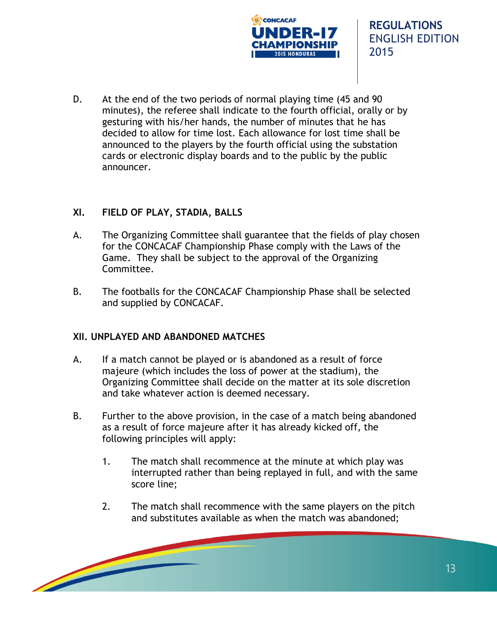

D. At the end of the two periods of normal playing time (45 and 90 minutes), the referee shall indicate to the fourth official, orally or by gesturing with his/her hands, the number of minutes that he has decided to allow for time lost. Each allowance for lost time shall be announced to the players by the fourth official using the substation cards or electronic display boards and to the public by the public announcer.

## **XI. FIELD OF PLAY, STADIA, BALLS**

- A. The Organizing Committee shall guarantee that the fields of play chosen for the CONCACAF Championship Phase comply with the Laws of the Game. They shall be subject to the approval of the Organizing Committee.
- B. The footballs for the CONCACAF Championship Phase shall be selected and supplied by CONCACAF.

#### **XII. UNPLAYED AND ABANDONED MATCHES**

- A. If a match cannot be played or is abandoned as a result of force majeure (which includes the loss of power at the stadium), the Organizing Committee shall decide on the matter at its sole discretion and take whatever action is deemed necessary.
- B. Further to the above provision, in the case of a match being abandoned as a result of force majeure after it has already kicked off, the following principles will apply:
	- 1. The match shall recommence at the minute at which play was interrupted rather than being replayed in full, and with the same score line;
	- 2. The match shall recommence with the same players on the pitch and substitutes available as when the match was abandoned;

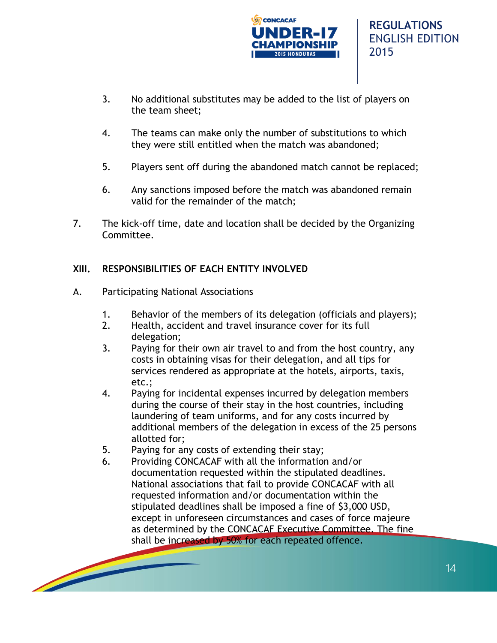

- 3. No additional substitutes may be added to the list of players on the team sheet;
- 4. The teams can make only the number of substitutions to which they were still entitled when the match was abandoned;
- 5. Players sent off during the abandoned match cannot be replaced;
- 6. Any sanctions imposed before the match was abandoned remain valid for the remainder of the match;
- 7. The kick-off time, date and location shall be decided by the Organizing Committee.

## **XIII. RESPONSIBILITIES OF EACH ENTITY INVOLVED**

- A. Participating National Associations
	- 1. Behavior of the members of its delegation (officials and players);
	- 2. Health, accident and travel insurance cover for its full delegation;
	- 3. Paying for their own air travel to and from the host country, any costs in obtaining visas for their delegation, and all tips for services rendered as appropriate at the hotels, airports, taxis, etc.;
	- 4. Paying for incidental expenses incurred by delegation members during the course of their stay in the host countries, including laundering of team uniforms, and for any costs incurred by additional members of the delegation in excess of the 25 persons allotted for;
	- 5. Paying for any costs of extending their stay;
	- 6. Providing CONCACAF with all the information and/or documentation requested within the stipulated deadlines. National associations that fail to provide CONCACAF with all requested information and/or documentation within the stipulated deadlines shall be imposed a fine of \$3,000 USD, except in unforeseen circumstances and cases of force majeure as determined by the CONCACAF Executive Committee. The fine shall be increased by 50% for each repeated offence.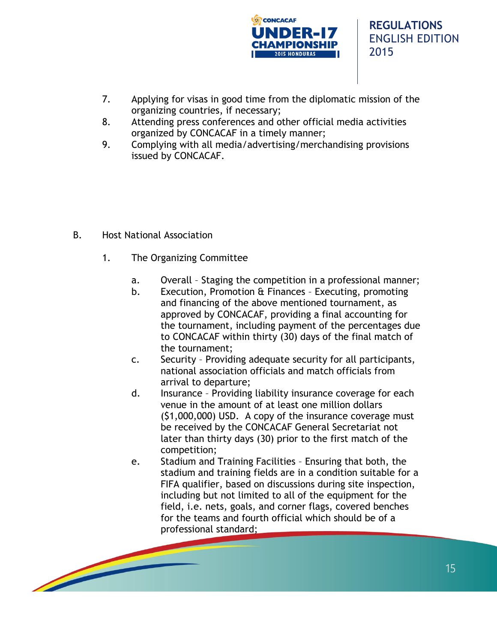

- 7. Applying for visas in good time from the diplomatic mission of the organizing countries, if necessary;
- 8. Attending press conferences and other official media activities organized by CONCACAF in a timely manner;
- 9. Complying with all media/advertising/merchandising provisions issued by CONCACAF.

- B. Host National Association
	- 1. The Organizing Committee
		- a. Overall Staging the competition in a professional manner;
		- b. Execution, Promotion & Finances Executing, promoting and financing of the above mentioned tournament, as approved by CONCACAF, providing a final accounting for the tournament, including payment of the percentages due to CONCACAF within thirty (30) days of the final match of the tournament;
		- c. Security Providing adequate security for all participants, national association officials and match officials from arrival to departure;
		- d. Insurance Providing liability insurance coverage for each venue in the amount of at least one million dollars (\$1,000,000) USD. A copy of the insurance coverage must be received by the CONCACAF General Secretariat not later than thirty days (30) prior to the first match of the competition;
		- e. Stadium and Training Facilities Ensuring that both, the stadium and training fields are in a condition suitable for a FIFA qualifier, based on discussions during site inspection, including but not limited to all of the equipment for the field, i.e. nets, goals, and corner flags, covered benches for the teams and fourth official which should be of a professional standard;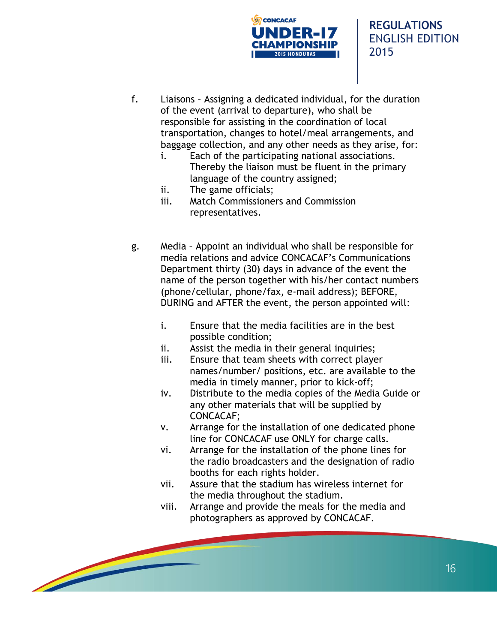

- f. Liaisons Assigning a dedicated individual, for the duration of the event (arrival to departure), who shall be responsible for assisting in the coordination of local transportation, changes to hotel/meal arrangements, and baggage collection, and any other needs as they arise, for:
	- i. Each of the participating national associations. Thereby the liaison must be fluent in the primary language of the country assigned;
	- ii. The game officials;
	- iii. Match Commissioners and Commission representatives.
- g. Media Appoint an individual who shall be responsible for media relations and advice CONCACAF's Communications Department thirty (30) days in advance of the event the name of the person together with his/her contact numbers (phone/cellular, phone/fax, e-mail address); BEFORE, DURING and AFTER the event, the person appointed will:
	- i. Ensure that the media facilities are in the best possible condition;
	- ii. Assist the media in their general inquiries;
	- iii. Ensure that team sheets with correct player names/number/ positions, etc. are available to the media in timely manner, prior to kick-off;
	- iv. Distribute to the media copies of the Media Guide or any other materials that will be supplied by CONCACAF;
	- v. Arrange for the installation of one dedicated phone line for CONCACAF use ONLY for charge calls.
	- vi. Arrange for the installation of the phone lines for the radio broadcasters and the designation of radio booths for each rights holder.
	- vii. Assure that the stadium has wireless internet for the media throughout the stadium.
	- viii. Arrange and provide the meals for the media and photographers as approved by CONCACAF.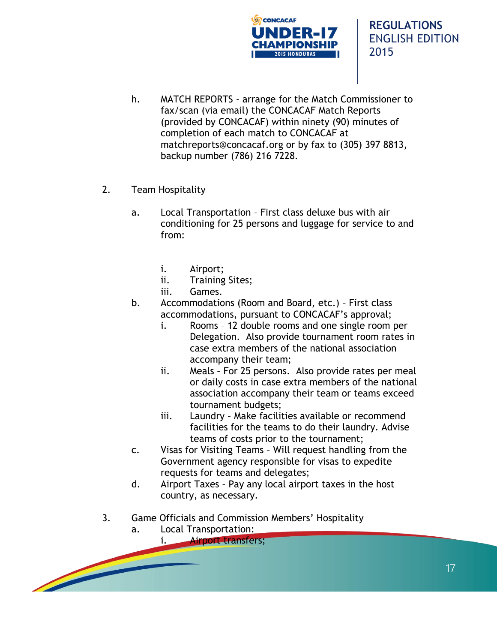

- h. MATCH REPORTS arrange for the Match Commissioner to fax/scan (via email) the CONCACAF Match Reports (provided by CONCACAF) within ninety (90) minutes of completion of each match to CONCACAF at matchreports@concacaf.org or by fax to (305) 397 8813, backup number (786) 216 7228.
- 2. Team Hospitality
	- a. Local Transportation First class deluxe bus with air conditioning for 25 persons and luggage for service to and from:
		- i. Airport;
		- ii. Training Sites;
		- iii. Games.
	- b. Accommodations (Room and Board, etc.) First class accommodations, pursuant to CONCACAF's approval;
		- i. Rooms 12 double rooms and one single room per Delegation. Also provide tournament room rates in case extra members of the national association accompany their team;
		- ii. Meals For 25 persons. Also provide rates per meal or daily costs in case extra members of the national association accompany their team or teams exceed tournament budgets;
		- iii. Laundry Make facilities available or recommend facilities for the teams to do their laundry. Advise teams of costs prior to the tournament;
	- c. Visas for Visiting Teams Will request handling from the Government agency responsible for visas to expedite requests for teams and delegates;
	- d. Airport Taxes Pay any local airport taxes in the host country, as necessary.
- 3. Game Officials and Commission Members' Hospitality
	- a. Local Transportation:

i. Airport transfers;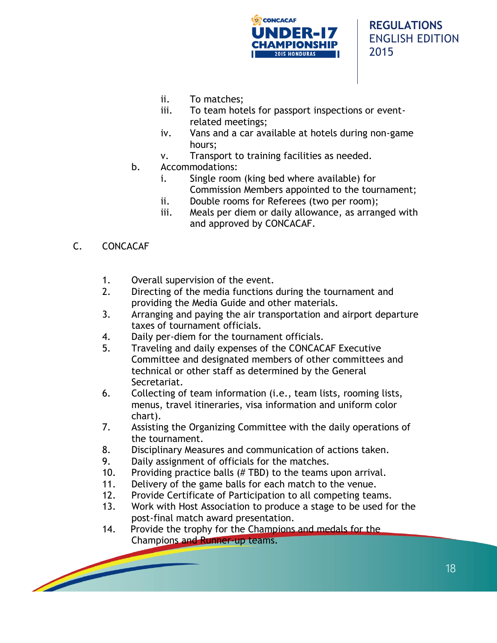

- ii. To matches;
- iii. To team hotels for passport inspections or eventrelated meetings;
- iv. Vans and a car available at hotels during non-game hours;
- v. Transport to training facilities as needed.
- b. Accommodations:
	- i. Single room (king bed where available) for Commission Members appointed to the tournament;
	- ii. Double rooms for Referees (two per room);
	- iii. Meals per diem or daily allowance, as arranged with and approved by CONCACAF.
- C. CONCACAF
	- 1. Overall supervision of the event.
	- 2. Directing of the media functions during the tournament and providing the Media Guide and other materials.
	- 3. Arranging and paying the air transportation and airport departure taxes of tournament officials.
	- 4. Daily per-diem for the tournament officials.
	- 5. Traveling and daily expenses of the CONCACAF Executive Committee and designated members of other committees and technical or other staff as determined by the General Secretariat.
	- 6. Collecting of team information (i.e., team lists, rooming lists, menus, travel itineraries, visa information and uniform color chart).
	- 7. Assisting the Organizing Committee with the daily operations of the tournament.
	- 8. Disciplinary Measures and communication of actions taken.
	- 9. Daily assignment of officials for the matches.
	- 10. Providing practice balls (# TBD) to the teams upon arrival.
	- 11. Delivery of the game balls for each match to the venue.
	- 12. Provide Certificate of Participation to all competing teams.
	- 13. Work with Host Association to produce a stage to be used for the post-final match award presentation.
	- 14. Provide the trophy for the Champions and medals for the Champions and Runner-up teams.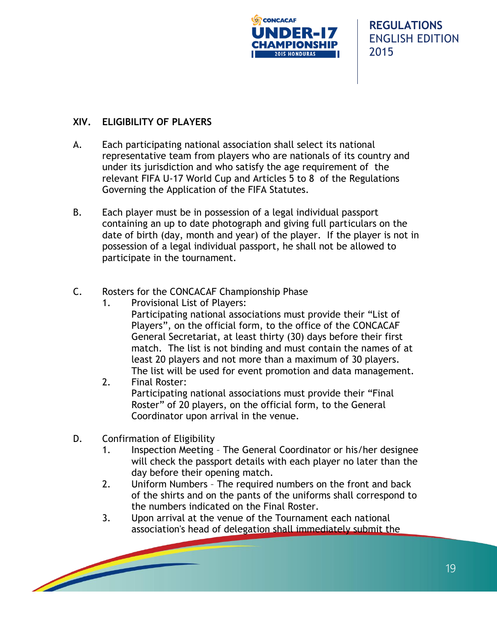

19

## **XIV. ELIGIBILITY OF PLAYERS**

- A. Each participating national association shall select its national representative team from players who are nationals of its country and under its jurisdiction and who satisfy the age requirement of the relevant FIFA U-17 World Cup and Articles 5 to 8 of the Regulations Governing the Application of the FIFA Statutes.
- B. Each player must be in possession of a legal individual passport containing an up to date photograph and giving full particulars on the date of birth (day, month and year) of the player. If the player is not in possession of a legal individual passport, he shall not be allowed to participate in the tournament.
- C. Rosters for the CONCACAF Championship Phase
	- 1. Provisional List of Players: Participating national associations must provide their "List of Players", on the official form, to the office of the CONCACAF General Secretariat, at least thirty (30) days before their first match. The list is not binding and must contain the names of at least 20 players and not more than a maximum of 30 players. The list will be used for event promotion and data management.
	- 2. Final Roster: Participating national associations must provide their "Final Roster" of 20 players, on the official form, to the General Coordinator upon arrival in the venue.
- D. Confirmation of Eligibility
	- 1. Inspection Meeting The General Coordinator or his/her designee will check the passport details with each player no later than the day before their opening match.
	- 2. Uniform Numbers The required numbers on the front and back of the shirts and on the pants of the uniforms shall correspond to the numbers indicated on the Final Roster.
	- 3. Upon arrival at the venue of the Tournament each national association's head of delegation shall immediately submit the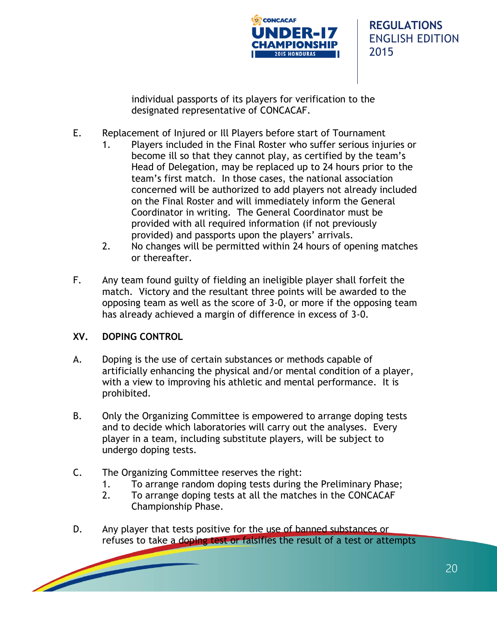

individual passports of its players for verification to the designated representative of CONCACAF.

- E. Replacement of Injured or Ill Players before start of Tournament
	- 1. Players included in the Final Roster who suffer serious injuries or become ill so that they cannot play, as certified by the team's Head of Delegation, may be replaced up to 24 hours prior to the team's first match. In those cases, the national association concerned will be authorized to add players not already included on the Final Roster and will immediately inform the General Coordinator in writing. The General Coordinator must be provided with all required information (if not previously provided) and passports upon the players' arrivals.
	- 2. No changes will be permitted within 24 hours of opening matches or thereafter.
- F. Any team found guilty of fielding an ineligible player shall forfeit the match. Victory and the resultant three points will be awarded to the opposing team as well as the score of 3-0, or more if the opposing team has already achieved a margin of difference in excess of 3-0.

## **XV. DOPING CONTROL**

- A. Doping is the use of certain substances or methods capable of artificially enhancing the physical and/or mental condition of a player, with a view to improving his athletic and mental performance. It is prohibited.
- B. Only the Organizing Committee is empowered to arrange doping tests and to decide which laboratories will carry out the analyses. Every player in a team, including substitute players, will be subject to undergo doping tests.
- C. The Organizing Committee reserves the right:
	- 1. To arrange random doping tests during the Preliminary Phase;
	- 2. To arrange doping tests at all the matches in the CONCACAF Championship Phase.
- D. Any player that tests positive for the use of banned substances or refuses to take a doping test or falsifies the result of a test or attempts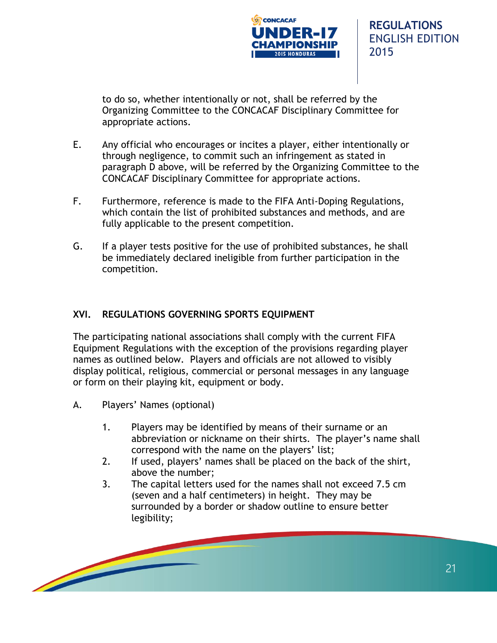

to do so, whether intentionally or not, shall be referred by the Organizing Committee to the CONCACAF Disciplinary Committee for appropriate actions.

- E. Any official who encourages or incites a player, either intentionally or through negligence, to commit such an infringement as stated in paragraph D above, will be referred by the Organizing Committee to the CONCACAF Disciplinary Committee for appropriate actions.
- F. Furthermore, reference is made to the FIFA Anti-Doping Regulations, which contain the list of prohibited substances and methods, and are fully applicable to the present competition.
- G. If a player tests positive for the use of prohibited substances, he shall be immediately declared ineligible from further participation in the competition.

## **XVI. REGULATIONS GOVERNING SPORTS EQUIPMENT**

The participating national associations shall comply with the current FIFA Equipment Regulations with the exception of the provisions regarding player names as outlined below. Players and officials are not allowed to visibly display political, religious, commercial or personal messages in any language or form on their playing kit, equipment or body.

- A. Players' Names (optional)
	- 1. Players may be identified by means of their surname or an abbreviation or nickname on their shirts. The player's name shall correspond with the name on the players' list;
	- 2. If used, players' names shall be placed on the back of the shirt, above the number;
	- 3. The capital letters used for the names shall not exceed 7.5 cm (seven and a half centimeters) in height. They may be surrounded by a border or shadow outline to ensure better legibility;

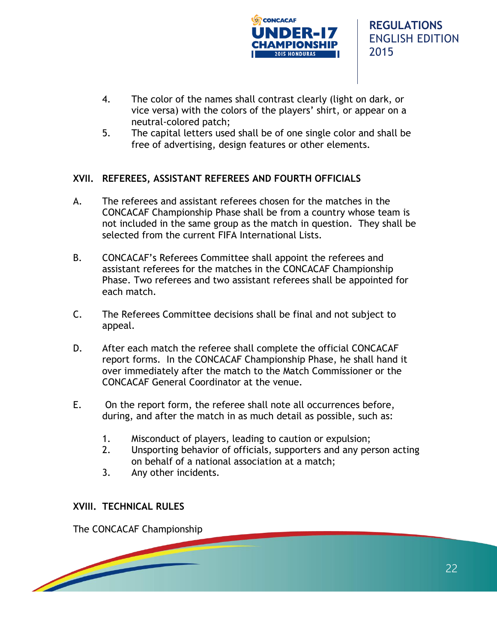

- 4. The color of the names shall contrast clearly (light on dark, or vice versa) with the colors of the players' shirt, or appear on a neutral-colored patch;
- 5. The capital letters used shall be of one single color and shall be free of advertising, design features or other elements.

## **XVII. REFEREES, ASSISTANT REFEREES AND FOURTH OFFICIALS**

- A. The referees and assistant referees chosen for the matches in the CONCACAF Championship Phase shall be from a country whose team is not included in the same group as the match in question. They shall be selected from the current FIFA International Lists.
- B. CONCACAF's Referees Committee shall appoint the referees and assistant referees for the matches in the CONCACAF Championship Phase. Two referees and two assistant referees shall be appointed for each match.
- C. The Referees Committee decisions shall be final and not subject to appeal.
- D. After each match the referee shall complete the official CONCACAF report forms. In the CONCACAF Championship Phase, he shall hand it over immediately after the match to the Match Commissioner or the CONCACAF General Coordinator at the venue.
- E. On the report form, the referee shall note all occurrences before, during, and after the match in as much detail as possible, such as:
	- 1. Misconduct of players, leading to caution or expulsion;
	- 2. Unsporting behavior of officials, supporters and any person acting on behalf of a national association at a match;
	- 3. Any other incidents.

## **XVIII. TECHNICAL RULES**

The CONCACAF Championship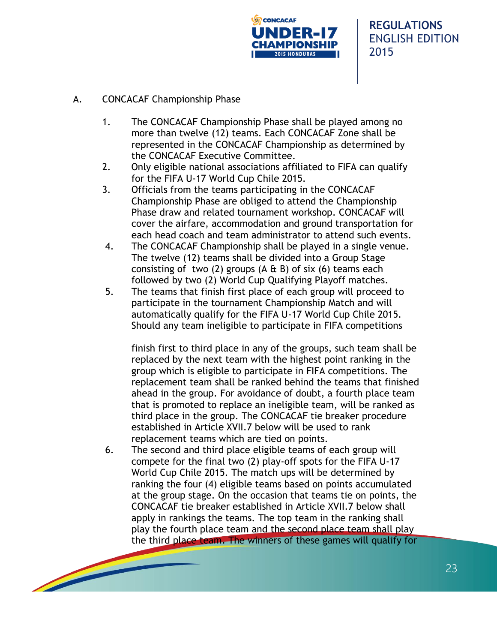

- A. CONCACAF Championship Phase
	- 1. The CONCACAF Championship Phase shall be played among no more than twelve (12) teams. Each CONCACAF Zone shall be represented in the CONCACAF Championship as determined by the CONCACAF Executive Committee.
	- 2. Only eligible national associations affiliated to FIFA can qualify for the FIFA U-17 World Cup Chile 2015.
	- 3. Officials from the teams participating in the CONCACAF Championship Phase are obliged to attend the Championship Phase draw and related tournament workshop. CONCACAF will cover the airfare, accommodation and ground transportation for each head coach and team administrator to attend such events.
	- 4. The CONCACAF Championship shall be played in a single venue. The twelve (12) teams shall be divided into a Group Stage consisting of two (2) groups (A  $\&$  B) of six (6) teams each followed by two (2) World Cup Qualifying Playoff matches.
	- 5. The teams that finish first place of each group will proceed to participate in the tournament Championship Match and will automatically qualify for the FIFA U-17 World Cup Chile 2015. Should any team ineligible to participate in FIFA competitions

finish first to third place in any of the groups, such team shall be replaced by the next team with the highest point ranking in the group which is eligible to participate in FIFA competitions. The replacement team shall be ranked behind the teams that finished ahead in the group. For avoidance of doubt, a fourth place team that is promoted to replace an ineligible team, will be ranked as third place in the group. The CONCACAF tie breaker procedure established in Article XVII.7 below will be used to rank replacement teams which are tied on points.

6. The second and third place eligible teams of each group will compete for the final two (2) play-off spots for the FIFA U-17 World Cup Chile 2015. The match ups will be determined by ranking the four (4) eligible teams based on points accumulated at the group stage. On the occasion that teams tie on points, the CONCACAF tie breaker established in Article XVII.7 below shall apply in rankings the teams. The top team in the ranking shall play the fourth place team and the second place team shall play the third place team. The winners of these games will qualify for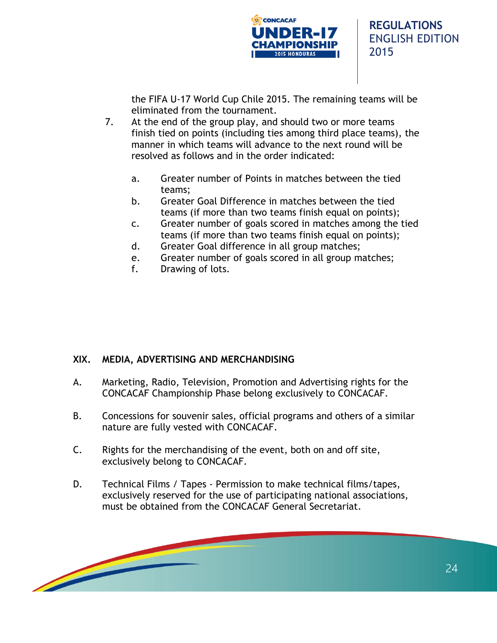

the FIFA U-17 World Cup Chile 2015. The remaining teams will be eliminated from the tournament.

- 7. At the end of the group play, and should two or more teams finish tied on points (including ties among third place teams), the manner in which teams will advance to the next round will be resolved as follows and in the order indicated:
	- a. Greater number of Points in matches between the tied teams;
	- b. Greater Goal Difference in matches between the tied teams (if more than two teams finish equal on points);
	- c. Greater number of goals scored in matches among the tied teams (if more than two teams finish equal on points);
	- d. Greater Goal difference in all group matches;
	- e. Greater number of goals scored in all group matches;
	- f. Drawing of lots.

## **XIX. MEDIA, ADVERTISING AND MERCHANDISING**

- A. Marketing, Radio, Television, Promotion and Advertising rights for the CONCACAF Championship Phase belong exclusively to CONCACAF.
- B. Concessions for souvenir sales, official programs and others of a similar nature are fully vested with CONCACAF.
- C. Rights for the merchandising of the event, both on and off site, exclusively belong to CONCACAF.
- D. Technical Films / Tapes Permission to make technical films/tapes, exclusively reserved for the use of participating national associations, must be obtained from the CONCACAF General Secretariat.

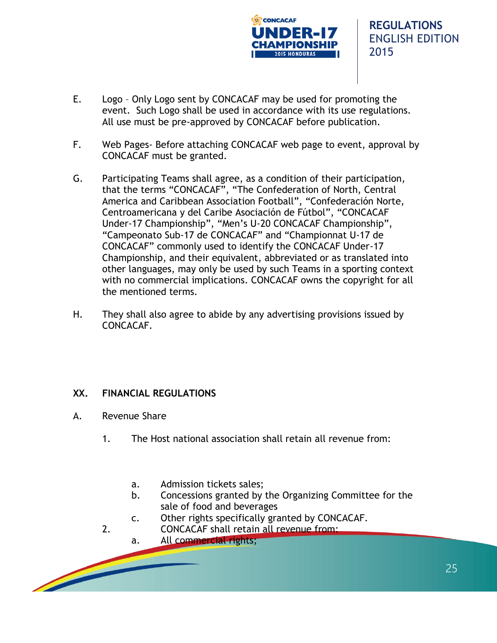

- E. Logo Only Logo sent by CONCACAF may be used for promoting the event. Such Logo shall be used in accordance with its use regulations. All use must be pre-approved by CONCACAF before publication.
- F. Web Pages- Before attaching CONCACAF web page to event, approval by CONCACAF must be granted.
- G. Participating Teams shall agree, as a condition of their participation, that the terms "CONCACAF", "The Confederation of North, Central America and Caribbean Association Football", "Confederación Norte, Centroamericana y del Caribe Asociación de Fútbol", "CONCACAF Under-17 Championship", "Men's U-20 CONCACAF Championship", "Campeonato Sub-17 de CONCACAF" and "Championnat U-17 de CONCACAF" commonly used to identify the CONCACAF Under-17 Championship, and their equivalent, abbreviated or as translated into other languages, may only be used by such Teams in a sporting context with no commercial implications. CONCACAF owns the copyright for all the mentioned terms.
- H. They shall also agree to abide by any advertising provisions issued by CONCACAF.

## **XX. FINANCIAL REGULATIONS**

- A. Revenue Share
	- 1. The Host national association shall retain all revenue from:
		- a. Admission tickets sales;
		- b. Concessions granted by the Organizing Committee for the sale of food and beverages
		- c. Other rights specifically granted by CONCACAF.
	- 2. CONCACAF shall retain all revenue from:
		- a. All commercial rights;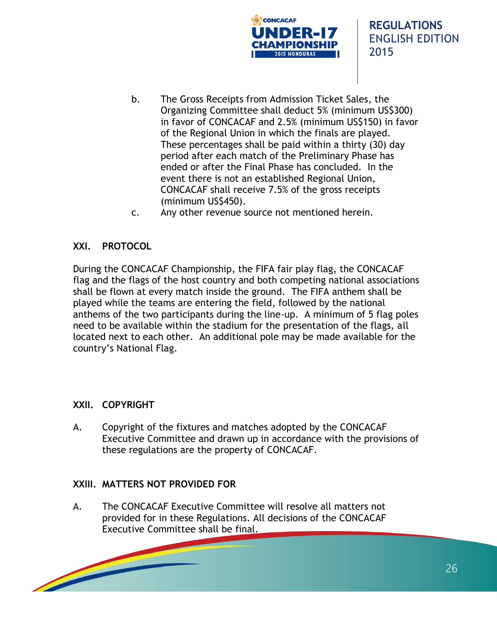

- b. The Gross Receipts from Admission Ticket Sales, the Organizing Committee shall deduct 5% (minimum US\$300) in favor of CONCACAF and 2.5% (minimum US\$150) in favor of the Regional Union in which the finals are played. These percentages shall be paid within a thirty (30) day period after each match of the Preliminary Phase has ended or after the Final Phase has concluded. In the event there is not an established Regional Union, CONCACAF shall receive 7.5% of the gross receipts (minimum US\$450).
- c. Any other revenue source not mentioned herein.

#### **XXI. PROTOCOL**

During the CONCACAF Championship, the FIFA fair play flag, the CONCACAF flag and the flags of the host country and both competing national associations shall be flown at every match inside the ground. The FIFA anthem shall be played while the teams are entering the field, followed by the national anthems of the two participants during the line-up. A minimum of 5 flag poles need to be available within the stadium for the presentation of the flags, all located next to each other. An additional pole may be made available for the country's National Flag.

#### **XXII. COPYRIGHT**

A. Copyright of the fixtures and matches adopted by the CONCACAF Executive Committee and drawn up in accordance with the provisions of these regulations are the property of CONCACAF.

#### **XXIII. MATTERS NOT PROVIDED FOR**

A. The CONCACAF Executive Committee will resolve all matters not provided for in these Regulations. All decisions of the CONCACAF Executive Committee shall be final.